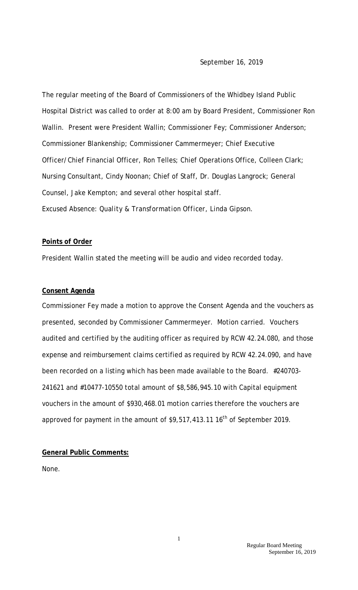The regular meeting of the Board of Commissioners of the Whidbey Island Public Hospital District was called to order at 8:00 am by Board President, Commissioner Ron Wallin. Present were President Wallin; Commissioner Fey; Commissioner Anderson; Commissioner Blankenship; Commissioner Cammermeyer; Chief Executive Officer/Chief Financial Officer, Ron Telles; Chief Operations Office, Colleen Clark; Nursing Consultant, Cindy Noonan; Chief of Staff, Dr. Douglas Langrock; General Counsel, Jake Kempton; and several other hospital staff. *Excused Absence: Quality & Transformation Officer, Linda Gipson.* 

## **Points of Order**

President Wallin stated the meeting will be audio and video recorded today.

## **Consent Agenda**

Commissioner Fey made a motion to approve the Consent Agenda and the vouchers as presented, seconded by Commissioner Cammermeyer. Motion carried. Vouchers audited and certified by the auditing officer as required by RCW 42.24.080, and those expense and reimbursement claims certified as required by RCW 42.24.090, and have been recorded on a listing which has been made available to the Board. #240703- 241621 and #10477-10550 total amount of \$8,586,945.10 with Capital equipment vouchers in the amount of \$930,468.01 motion carries therefore the vouchers are approved for payment in the amount of  $$9,517,413.11$  16<sup>th</sup> of September 2019.

## **General Public Comments:**

None.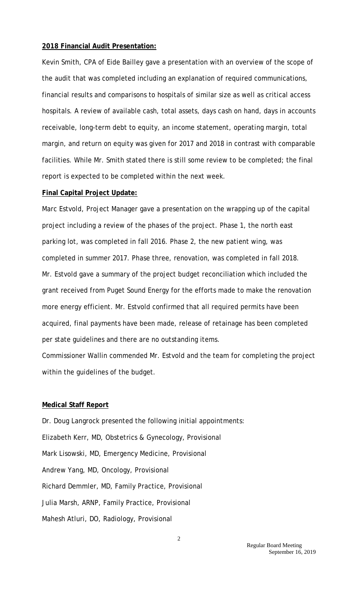#### **2018 Financial Audit Presentation:**

Kevin Smith, CPA of Eide Bailley gave a presentation with an overview of the scope of the audit that was completed including an explanation of required communications, financial results and comparisons to hospitals of similar size as well as critical access hospitals. A review of available cash, total assets, days cash on hand, days in accounts receivable, long-term debt to equity, an income statement, operating margin, total margin, and return on equity was given for 2017 and 2018 in contrast with comparable facilities. While Mr. Smith stated there is still some review to be completed; the final report is expected to be completed within the next week.

### **Final Capital Project Update:**

Marc Estvold, Project Manager gave a presentation on the wrapping up of the capital project including a review of the phases of the project. Phase 1, the north east parking lot, was completed in fall 2016. Phase 2, the new patient wing, was completed in summer 2017. Phase three, renovation, was completed in fall 2018. Mr. Estvold gave a summary of the project budget reconciliation which included the grant received from Puget Sound Energy for the efforts made to make the renovation more energy efficient. Mr. Estvold confirmed that all required permits have been acquired, final payments have been made, release of retainage has been completed per state guidelines and there are no outstanding items.

Commissioner Wallin commended Mr. Estvold and the team for completing the project within the guidelines of the budget.

#### **Medical Staff Report**

Dr. Doug Langrock presented the following initial appointments: Elizabeth Kerr, MD, Obstetrics & Gynecology, Provisional Mark Lisowski, MD, Emergency Medicine, Provisional Andrew Yang, MD, Oncology, Provisional Richard Demmler, MD, Family Practice, Provisional Julia Marsh, ARNP, Family Practice, Provisional Mahesh Atluri, DO, Radiology, Provisional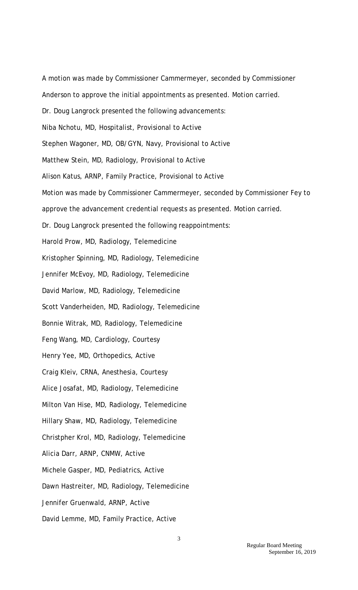A motion was made by Commissioner Cammermeyer, seconded by Commissioner Anderson to approve the initial appointments as presented. Motion carried. Dr. Doug Langrock presented the following advancements: Niba Nchotu, MD, Hospitalist, Provisional to Active Stephen Wagoner, MD, OB/GYN, Navy, Provisional to Active Matthew Stein, MD, Radiology, Provisional to Active Alison Katus, ARNP, Family Practice, Provisional to Active Motion was made by Commissioner Cammermeyer, seconded by Commissioner Fey to approve the advancement credential requests as presented. Motion carried. Dr. Doug Langrock presented the following reappointments: Harold Prow, MD, Radiology, Telemedicine Kristopher Spinning, MD, Radiology, Telemedicine Jennifer McEvoy, MD, Radiology, Telemedicine David Marlow, MD, Radiology, Telemedicine Scott Vanderheiden, MD, Radiology, Telemedicine Bonnie Witrak, MD, Radiology, Telemedicine Feng Wang, MD, Cardiology, Courtesy Henry Yee, MD, Orthopedics, Active Craig Kleiv, CRNA, Anesthesia, Courtesy Alice Josafat, MD, Radiology, Telemedicine Milton Van Hise, MD, Radiology, Telemedicine Hillary Shaw, MD, Radiology, Telemedicine Christpher Krol, MD, Radiology, Telemedicine Alicia Darr, ARNP, CNMW, Active Michele Gasper, MD, Pediatrics, Active Dawn Hastreiter, MD, Radiology, Telemedicine Jennifer Gruenwald, ARNP, Active David Lemme, MD, Family Practice, Active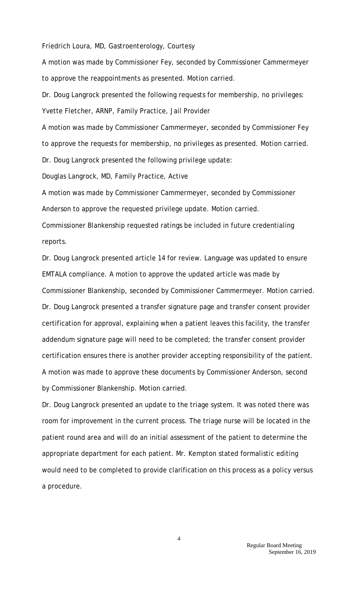Friedrich Loura, MD, Gastroenterology, Courtesy

A motion was made by Commissioner Fey, seconded by Commissioner Cammermeyer to approve the reappointments as presented. Motion carried.

Dr. Doug Langrock presented the following requests for membership, no privileges: Yvette Fletcher, ARNP, Family Practice, Jail Provider

A motion was made by Commissioner Cammermeyer, seconded by Commissioner Fey to approve the requests for membership, no privileges as presented. Motion carried. Dr. Doug Langrock presented the following privilege update:

Douglas Langrock, MD, Family Practice, Active

A motion was made by Commissioner Cammermeyer, seconded by Commissioner Anderson to approve the requested privilege update. Motion carried.

Commissioner Blankenship requested ratings be included in future credentialing reports.

Dr. Doug Langrock presented article 14 for review. Language was updated to ensure EMTALA compliance. A motion to approve the updated article was made by Commissioner Blankenship, seconded by Commissioner Cammermeyer. Motion carried. Dr. Doug Langrock presented a transfer signature page and transfer consent provider certification for approval, explaining when a patient leaves this facility, the transfer addendum signature page will need to be completed; the transfer consent provider certification ensures there is another provider accepting responsibility of the patient. A motion was made to approve these documents by Commissioner Anderson, second by Commissioner Blankenship. Motion carried.

Dr. Doug Langrock presented an update to the triage system. It was noted there was room for improvement in the current process. The triage nurse will be located in the patient round area and will do an initial assessment of the patient to determine the appropriate department for each patient. Mr. Kempton stated formalistic editing would need to be completed to provide clarification on this process as a policy versus a procedure.

4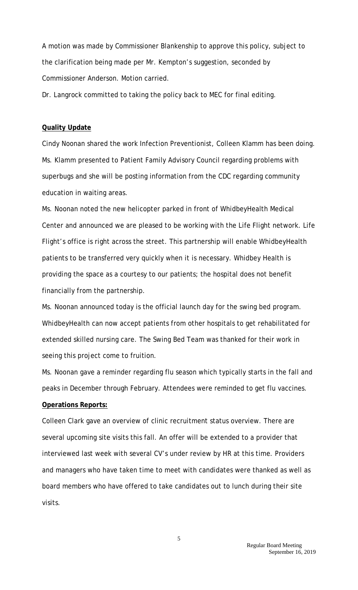A motion was made by Commissioner Blankenship to approve this policy, subject to the clarification being made per Mr. Kempton's suggestion, seconded by Commissioner Anderson. Motion carried.

Dr. Langrock committed to taking the policy back to MEC for final editing.

#### **Quality Update**

Cindy Noonan shared the work Infection Preventionist, Colleen Klamm has been doing. Ms. Klamm presented to Patient Family Advisory Council regarding problems with superbugs and she will be posting information from the CDC regarding community education in waiting areas.

Ms. Noonan noted the new helicopter parked in front of WhidbeyHealth Medical Center and announced we are pleased to be working with the Life Flight network. Life Flight's office is right across the street. This partnership will enable WhidbeyHealth patients to be transferred very quickly when it is necessary. Whidbey Health is providing the space as a courtesy to our patients; the hospital does not benefit financially from the partnership.

Ms. Noonan announced today is the official launch day for the swing bed program. WhidbeyHealth can now accept patients from other hospitals to get rehabilitated for extended skilled nursing care. The Swing Bed Team was thanked for their work in seeing this project come to fruition.

Ms. Noonan gave a reminder regarding flu season which typically starts in the fall and peaks in December through February. Attendees were reminded to get flu vaccines. **Operations Reports:**

Colleen Clark gave an overview of clinic recruitment status overview. There are several upcoming site visits this fall. An offer will be extended to a provider that interviewed last week with several CV's under review by HR at this time. Providers and managers who have taken time to meet with candidates were thanked as well as board members who have offered to take candidates out to lunch during their site visits.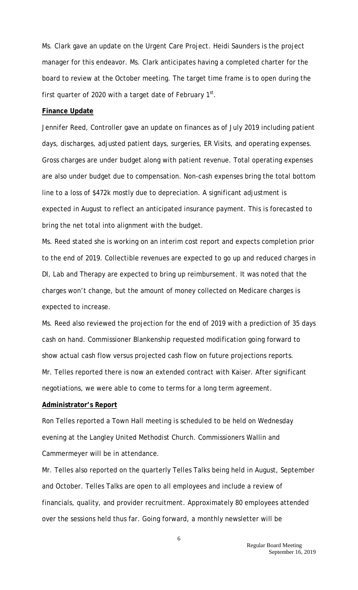Ms. Clark gave an update on the Urgent Care Project. Heidi Saunders is the project manager for this endeavor. Ms. Clark anticipates having a completed charter for the board to review at the October meeting. The target time frame is to open during the first quarter of 2020 with a target date of February  $1<sup>st</sup>$ .

### **Finance Update**

Jennifer Reed, Controller gave an update on finances as of July 2019 including patient days, discharges, adjusted patient days, surgeries, ER Visits, and operating expenses. Gross charges are under budget along with patient revenue. Total operating expenses are also under budget due to compensation. Non-cash expenses bring the total bottom line to a loss of \$472k mostly due to depreciation. A significant adjustment is expected in August to reflect an anticipated insurance payment. This is forecasted to bring the net total into alignment with the budget.

Ms. Reed stated she is working on an interim cost report and expects completion prior to the end of 2019. Collectible revenues are expected to go up and reduced charges in DI, Lab and Therapy are expected to bring up reimbursement. It was noted that the charges won't change, but the amount of money collected on Medicare charges is expected to increase.

Ms. Reed also reviewed the projection for the end of 2019 with a prediction of 35 days cash on hand. Commissioner Blankenship requested modification going forward to show actual cash flow versus projected cash flow on future projections reports. Mr. Telles reported there is now an extended contract with Kaiser. After significant negotiations, we were able to come to terms for a long term agreement.

#### **Administrator's Report**

Ron Telles reported a Town Hall meeting is scheduled to be held on Wednesday evening at the Langley United Methodist Church. Commissioners Wallin and Cammermeyer will be in attendance.

Mr. Telles also reported on the quarterly Telles Talks being held in August, September and October. Telles Talks are open to all employees and include a review of financials, quality, and provider recruitment. Approximately 80 employees attended over the sessions held thus far. Going forward, a monthly newsletter will be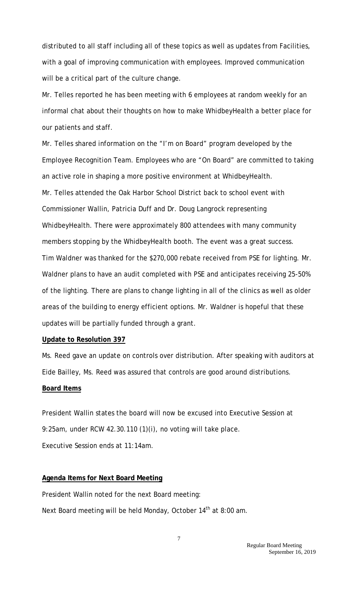distributed to all staff including all of these topics as well as updates from Facilities, with a goal of improving communication with employees. Improved communication will be a critical part of the culture change.

Mr. Telles reported he has been meeting with 6 employees at random weekly for an informal chat about their thoughts on how to make WhidbeyHealth a better place for our patients and staff.

Mr. Telles shared information on the "I'm on Board" program developed by the Employee Recognition Team. Employees who are "On Board" are committed to taking an active role in shaping a more positive environment at WhidbeyHealth. Mr. Telles attended the Oak Harbor School District back to school event with Commissioner Wallin, Patricia Duff and Dr. Doug Langrock representing WhidbeyHealth. There were approximately 800 attendees with many community members stopping by the WhidbeyHealth booth. The event was a great success. Tim Waldner was thanked for the \$270,000 rebate received from PSE for lighting. Mr. Waldner plans to have an audit completed with PSE and anticipates receiving 25-50% of the lighting. There are plans to change lighting in all of the clinics as well as older areas of the building to energy efficient options. Mr. Waldner is hopeful that these updates will be partially funded through a grant.

#### **Update to Resolution 397**

Ms. Reed gave an update on controls over distribution. After speaking with auditors at Eide Bailley, Ms. Reed was assured that controls are good around distributions.

### **Board Items**

President Wallin states the board will now be excused into Executive Session at 9:25am, under RCW 42.30.110 (1)(i), no voting will take place. Executive Session ends at 11:14am.

# **Agenda Items for Next Board Meeting**

President Wallin noted for the next Board meeting: Next Board meeting will be held Monday, October 14<sup>th</sup> at 8:00 am.